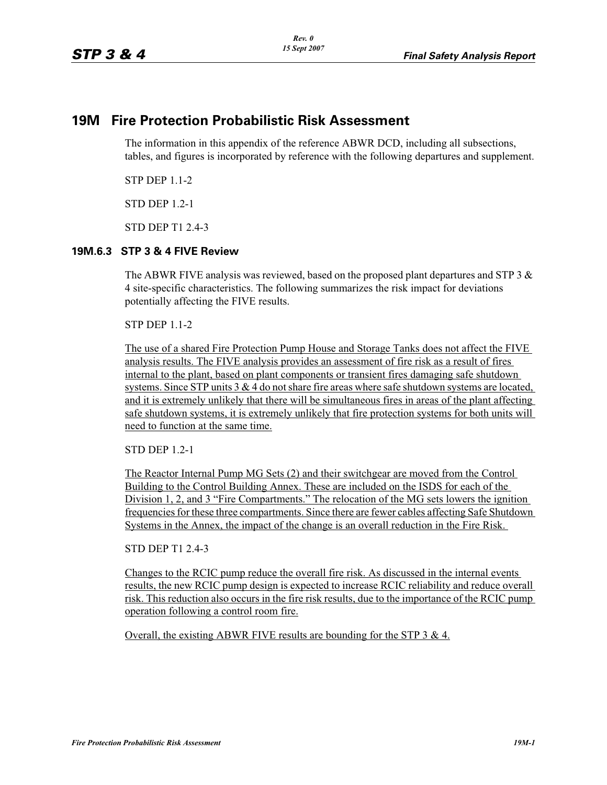## **19M Fire Protection Probabilistic Risk Assessment**

The information in this appendix of the reference ABWR DCD, including all subsections, tables, and figures is incorporated by reference with the following departures and supplement.

STP DEP 1.1-2

STD DEP 1.2-1

STD DEP T1 2.4-3

## **19M.6.3 STP 3 & 4 FIVE Review**

The ABWR FIVE analysis was reviewed, based on the proposed plant departures and STP 3  $\&$ 4 site-specific characteristics. The following summarizes the risk impact for deviations potentially affecting the FIVE results.

STP DEP 1.1-2

The use of a shared Fire Protection Pump House and Storage Tanks does not affect the FIVE analysis results. The FIVE analysis provides an assessment of fire risk as a result of fires internal to the plant, based on plant components or transient fires damaging safe shutdown systems. Since STP units  $3 \& 4$  do not share fire areas where safe shutdown systems are located, and it is extremely unlikely that there will be simultaneous fires in areas of the plant affecting safe shutdown systems, it is extremely unlikely that fire protection systems for both units will need to function at the same time.

STD DEP 1.2-1

The Reactor Internal Pump MG Sets (2) and their switchgear are moved from the Control Building to the Control Building Annex. These are included on the ISDS for each of the Division 1, 2, and 3 "Fire Compartments." The relocation of the MG sets lowers the ignition frequencies for these three compartments. Since there are fewer cables affecting Safe Shutdown Systems in the Annex, the impact of the change is an overall reduction in the Fire Risk.

STD DEP T1 2.4-3

Changes to the RCIC pump reduce the overall fire risk. As discussed in the internal events results, the new RCIC pump design is expected to increase RCIC reliability and reduce overall risk. This reduction also occurs in the fire risk results, due to the importance of the RCIC pump operation following a control room fire.

Overall, the existing ABWR FIVE results are bounding for the STP 3 & 4.